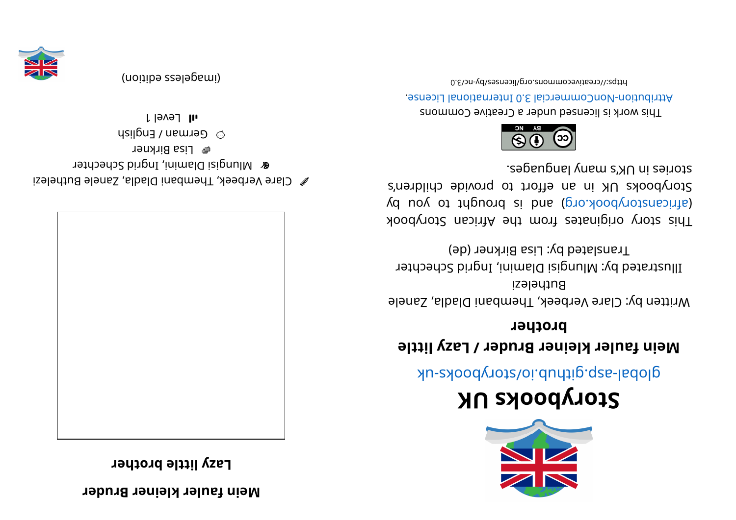**redur Breni el krel uaf ni e M**

**reht or b el ttil yzaL**



 $\mathscr{C}$  Clare Verbeek, Thembani Diadla, Zanele Buthelezi **&** Mlungisi Dlamini, Ingrid Schechter <sup>图</sup> Lisa Birkner  $\omega_{\rm B}$  German / English

l level 1



(imageless eqition)



# **KUskoobyr otS**

global-aspookhotal approach and above -uk

#### **Mein fauler kleiner Bruder / Lazy little brother**

Written by: Clare Verbeek, Thembani Dladla, Zanele Buthelezi Illustrated by: Mlungisi Dlamini, Ingrid Schechter

Translated by: Lisa Birkner (de)

This story originates from the African Storybook ye use to voopbook of the variancy by an interest and  $\alpha$ Storybooks UK in an effort to provide children's  $\cdot$  segaugnal yuam languages.



This work is licensed under a Creative Commons Attribution-NonCommercial 3.0 International License.

0. 8\creativecommons.org/lieenseco-victors/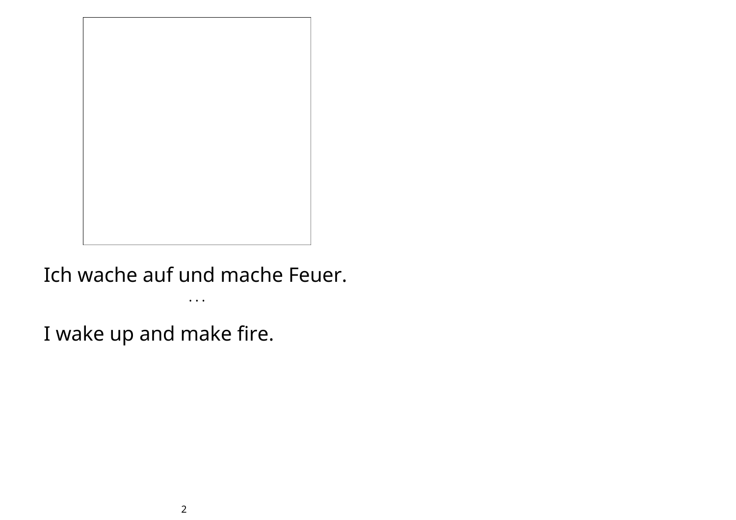

Ich wache auf und mache Feuer.

• • •

I wake up and make fire.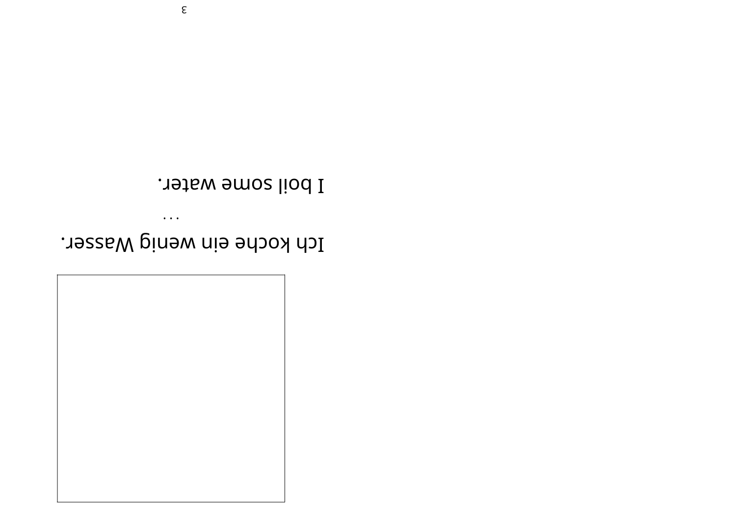

Ich koche ein wenig Wasser.

 $\bullet$   $\bullet$   $\bullet$ 

I boil some water.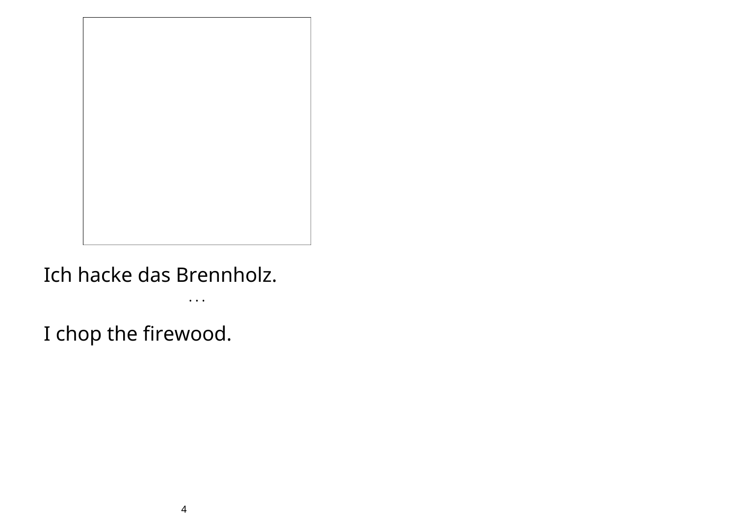

### Ich hacke das Brennholz.

 $\bullet$   $\bullet$   $\bullet$ 

I chop the firewood.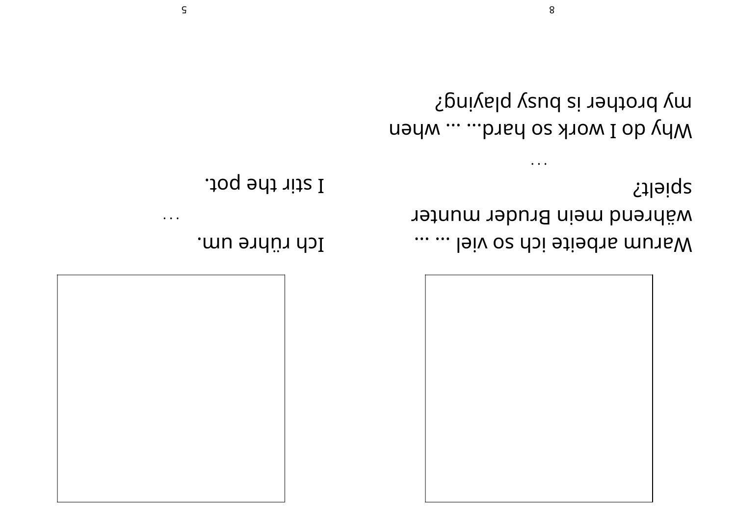

spielt? während mein Bruder munter marum arbeite ich so viel ... ...

my brother is busy playing? Why do I work so hard... ... when

 $\bullet$  .  $\bullet$  .

8

Ich rühre um.

I stir the pot.

 $\bullet$   $\bullet$   $\bullet$